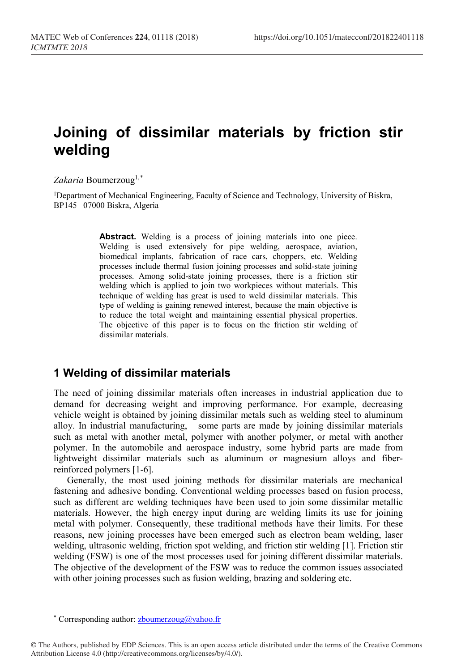# **Joining of dissimilar materials by friction stir welding**

#### Zakaria Boumerzoug<sup>1,[\\*](#page-0-0)</sup>

1Department of Mechanical Engineering, Faculty of Science and Technology, University of Biskra, BP145– 07000 Biskra, Algeria

> Abstract. Welding is a process of joining materials into one piece. Welding is used extensively for pipe welding, aerospace, aviation, biomedical implants, fabrication of race cars, choppers, etc. Welding processes include thermal fusion joining processes and solid-state joining processes. Among solid-state joining processes, there is a friction stir welding which is applied to join two workpieces without materials. This technique of welding has great is used to weld dissimilar materials. This type of welding is gaining renewed interest, because the main objective is to reduce the total weight and maintaining essential physical properties. The objective of this paper is to focus on the friction stir welding of dissimilar materials.

## **1 Welding of dissimilar materials**

The need of joining dissimilar materials often increases in industrial application due to demand for decreasing weight and improving performance. For example, decreasing vehicle weight is obtained by joining dissimilar metals such as welding steel to aluminum alloy. In industrial manufacturing, some parts are made by joining dissimilar materials such as metal with another metal, polymer with another polymer, or metal with another polymer. In the automobile and aerospace industry, some hybrid parts are made from lightweight dissimilar materials such as aluminum or magnesium alloys and fiberreinforced polymers [1-6].

Generally, the most used joining methods for dissimilar materials are mechanical fastening and adhesive bonding. Conventional welding processes based on fusion process, such as different arc welding techniques have been used to join some dissimilar metallic materials. However, the high energy input during arc welding limits its use for joining metal with polymer. Consequently, these traditional methods have their limits. For these reasons, new joining processes have been emerged such as electron beam welding, laser welding, ultrasonic welding, friction spot welding, and friction stir welding [1]. Friction stir welding (FSW) is one of the most processes used for joining different dissimilar materials. The objective of the development of the FSW was to reduce the common issues associated with other joining processes such as fusion welding, brazing and soldering etc.

 $\overline{a}$ 

<span id="page-0-0"></span><sup>\*</sup> Corresponding author:  $z$ boumerzoug@yahoo.fr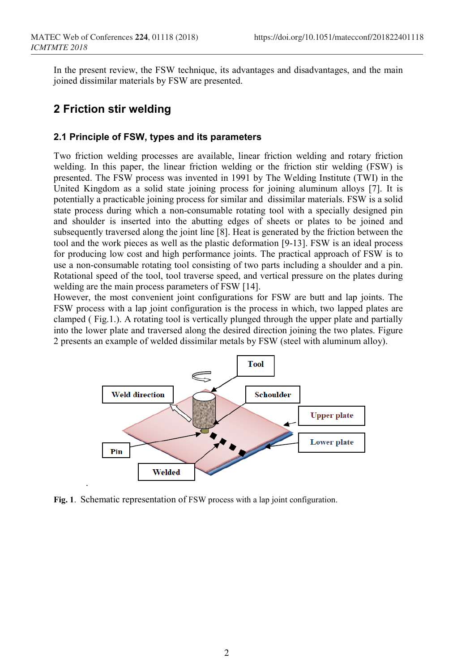In the present review, the FSW technique, its advantages and disadvantages, and the main joined dissimilar materials by FSW are presented.

### **2 Friction stir welding**

.

### **2.1 Principle of FSW, types and its parameters**

Two friction welding processes are available, linear friction welding and rotary friction welding. In this paper, the linear friction welding or the friction stir welding (FSW) is presented. The FSW process was invented in 1991 by The Welding Institute (TWI) in the United Kingdom as a solid state joining process for joining aluminum alloys [7]. It is potentially a practicable joining process for similar and dissimilar materials. FSW is a solid state process during which a non-consumable rotating tool with a specially designed pin and shoulder is inserted into the abutting edges of sheets or plates to be joined and subsequently traversed along the joint line [8]. Heat is generated by the friction between the tool and the work pieces as well as the plastic deformation [9-13]. FSW is an ideal process for producing low cost and high performance joints. The practical approach of FSW is to use a non-consumable rotating tool consisting of two parts including a shoulder and a pin. Rotational speed of the tool, tool traverse speed, and vertical pressure on the plates during welding are the main process parameters of FSW [14].

However, the most convenient joint configurations for FSW are butt and lap joints. The FSW process with a lap joint configuration is the process in which, two lapped plates are clamped ( Fig.1.). A rotating tool is vertically plunged through the upper plate and partially into the lower plate and traversed along the desired direction joining the two plates. Figure 2 presents an example of welded dissimilar metals by FSW (steel with aluminum alloy).



**Fig. 1**. Schematic representation of FSW process with a lap joint configuration.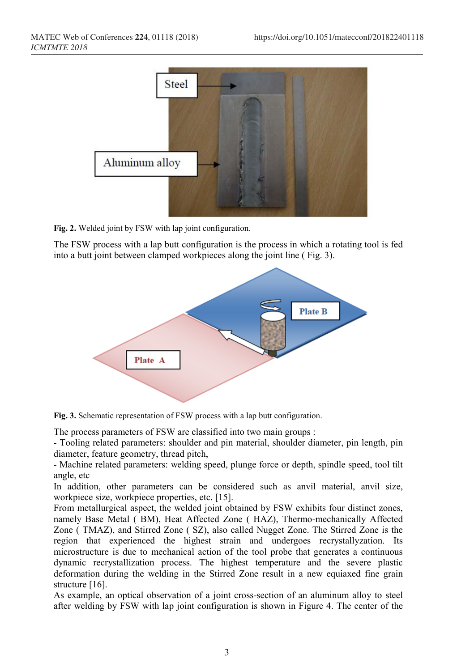

**Fig. 2.** Welded joint by FSW with lap joint configuration.

The FSW process with a lap butt configuration is the process in which a rotating tool is fed into a butt joint between clamped workpieces along the joint line ( Fig. 3).



**Fig. 3.** Schematic representation of FSW process with a lap butt configuration.

The process parameters of FSW are classified into two main groups :

- Tooling related parameters: shoulder and pin material, shoulder diameter, pin length, pin diameter, feature geometry, thread pitch,

- Machine related parameters: welding speed, plunge force or depth, spindle speed, tool tilt angle, etc

In addition, other parameters can be considered such as anvil material, anvil size, workpiece size, workpiece properties, etc. [15].

From metallurgical aspect, the welded joint obtained by FSW exhibits four distinct zones, namely Base Metal ( BM), Heat Affected Zone ( HAZ), Thermo-mechanically Affected Zone ( TMAZ), and Stirred Zone ( SZ), also called Nugget Zone. The Stirred Zone is the region that experienced the highest strain and undergoes recrystallyzation. Its microstructure is due to mechanical action of the tool probe that generates a continuous dynamic recrystallization process. The highest temperature and the severe plastic deformation during the welding in the Stirred Zone result in a new equiaxed fine grain structure [16].

As example, an optical observation of a joint cross-section of an aluminum alloy to steel after welding by FSW with lap joint configuration is shown in Figure 4. The center of the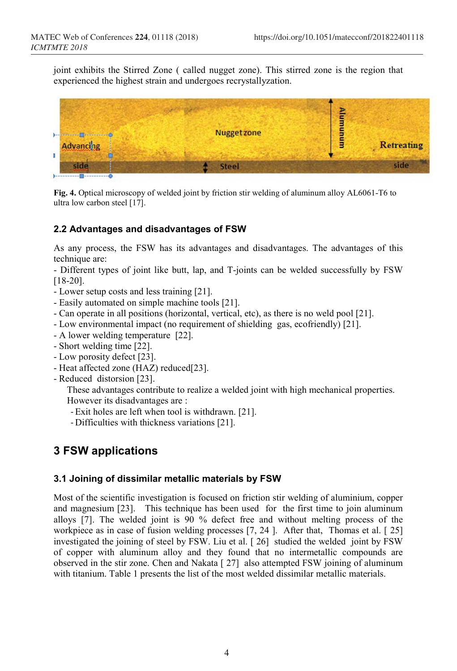joint exhibits the Stirred Zone ( called nugget zone). This stirred zone is the region that experienced the highest strain and undergoes recrystallyzation.



**Fig. 4.** Optical microscopy of welded joint by friction stir welding of aluminum alloy AL6061-T6 to ultra low carbon steel [17].

### **2.2 Advantages and disadvantages of FSW**

As any process, the FSW has its advantages and disadvantages. The advantages of this technique are:

- Different types of joint like butt, lap, and T-joints can be welded successfully by FSW [18-20].

- Lower setup costs and less training [21].
- Easily automated on simple machine tools [21].
- Can operate in all positions (horizontal, vertical, etc), as there is no weld pool [21].
- Low environmental impact (no requirement of shielding gas, ecofriendly) [21].
- A lower welding temperature [22].
- Short welding time [22].
- Low porosity defect [23].
- Heat affected zone (HAZ) reduced[23].
- Reduced distorsion [23].

These advantages contribute to realize a welded joint with high mechanical properties. However its disadvantages are :

- Exit holes are left when tool is withdrawn. [21].

- Difficulties with thickness variations [21].

# **3 FSW applications**

#### **3.1 Joining of dissimilar metallic materials by FSW**

Most of the scientific investigation is focused on friction stir welding of aluminium, copper and magnesium [23]. This technique has been used for the first time to join aluminum alloys [7]. The welded joint is 90 % defect free and without melting process of the workpiece as in case of fusion welding processes [7, 24 ]. After that, Thomas et al. [ 25] investigated the joining of steel by FSW. Liu et al. [ 26] studied the welded joint by FSW of copper with aluminum alloy and they found that no intermetallic compounds are observed in the stir zone. Chen and Nakata [ 27] also attempted FSW joining of aluminum with titanium. Table 1 presents the list of the most welded dissimilar metallic materials.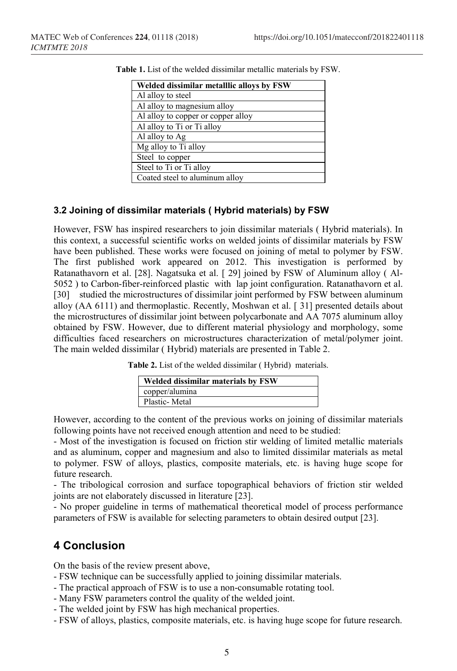| Welded dissimilar metalllic alloys by FSW |
|-------------------------------------------|
| Al alloy to steel                         |
| Al alloy to magnesium alloy               |
| Al alloy to copper or copper alloy        |
| Al alloy to Ti or Ti alloy                |
| Al alloy to Ag                            |
| Mg alloy to Ti alloy                      |
| Steel to copper                           |
| Steel to Ti or Ti alloy                   |
| Coated steel to aluminum alloy            |

**Table 1.** List of the welded dissimilar metallic materials by FSW.

#### **3.2 Joining of dissimilar materials ( Hybrid materials) by FSW**

However, FSW has inspired researchers to join dissimilar materials ( Hybrid materials). In this context, a successful scientific works on welded joints of dissimilar materials by FSW have been published. These works were focused on joining of metal to polymer by FSW. The first published work appeared on 2012. This investigation is performed by Ratanathavorn et al. [28]. Nagatsuka et al. [ 29] joined by FSW of Aluminum alloy ( Al-5052 ) to Carbon-fiber-reinforced plastic with lap joint configuration. Ratanathavorn et al. [30] studied the microstructures of dissimilar joint performed by FSW between aluminum alloy (AA 6111) and thermoplastic. Recently, Moshwan et al. [ 31] presented details about the microstructures of dissimilar joint between polycarbonate and AA 7075 aluminum alloy obtained by FSW. However, due to different material physiology and morphology, some difficulties faced researchers on microstructures characterization of metal/polymer joint. The main welded dissimilar ( Hybrid) materials are presented in Table 2.

**Table 2.** List of the welded dissimilar ( Hybrid) materials.

| Welded dissimilar materials by FSW |
|------------------------------------|
| copper/alumina                     |
| Plastic-Metal                      |

However, according to the content of the previous works on joining of dissimilar materials following points have not received enough attention and need to be studied:

- Most of the investigation is focused on friction stir welding of limited metallic materials and as aluminum, copper and magnesium and also to limited dissimilar materials as metal to polymer. FSW of alloys, plastics, composite materials, etc. is having huge scope for future research.

- The tribological corrosion and surface topographical behaviors of friction stir welded joints are not elaborately discussed in literature [23].

- No proper guideline in terms of mathematical theoretical model of process performance parameters of FSW is available for selecting parameters to obtain desired output [23].

## **4 Conclusion**

On the basis of the review present above,

- FSW technique can be successfully applied to joining dissimilar materials.
- The practical approach of FSW is to use a non-consumable rotating tool.
- Many FSW parameters control the quality of the welded joint.
- The welded joint by FSW has high mechanical properties.
- FSW of alloys, plastics, composite materials, etc. is having huge scope for future research.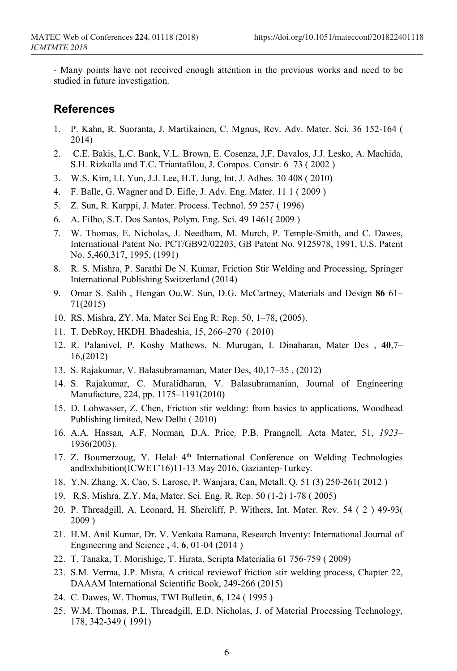- Many points have not received enough attention in the previous works and need to be studied in future investigation.

### **References**

- 1. P. Kahn, R. Suoranta, J. Martikainen, C. Mgnus, Rev. Adv. Mater. Sci. 36 152-164 ( 2014)
- 2. C.E. Bakis, L.C. Bank, V.L. Brown, E. Cosenza, J,F. Davalos, J.J. Lesko, A. Machida, S.H. Rizkalla and T.C. Triantafilou, J. Compos. Constr. 6 73 ( 2002 )
- 3. W.S. Kim, I.I. Yun, J.J. Lee, H.T. Jung, Int. J. Adhes. 30 408 ( 2010)
- 4. F. Balle, G. Wagner and D. Eifle, J. Adv. Eng. Mater. 11 1 ( 2009 )
- 5. Z. Sun, R. Karppi, J. Mater. Process. Technol. 59 257 ( 1996)
- 6. A. Filho, S.T. Dos Santos, Polym. Eng. Sci. 49 1461( 2009 )
- 7. W. Thomas, E. Nicholas, J. Needham, M. Murch, P. Temple-Smith, and C. Dawes, International Patent No. PCT/GB92/02203, GB Patent No. 9125978, 1991, U.S. Patent No. 5,460,317, 1995, (1991)
- 8. R. S. Mishra, P. Sarathi De N. Kumar, Friction Stir Welding and Processing, Springer International Publishing Switzerland (2014)
- 9. Omar S. Salih , Hengan Ou,W. Sun, D.G. McCartney, Materials and Design **86** 61– 71(2015)
- 10. RS. Mishra, ZY. Ma, Mater Sci Eng R: Rep. 50, 1–78, (2005).
- 11. T. DebRoy, HKDH. Bhadeshia, 15, 266–270 ( 2010)
- 12. R. Palanivel, P. Koshy Mathews, N. Murugan, I. Dinaharan, Mater Des , **40**,7– 16,(2012)
- 13. S. Rajakumar, V. Balasubramanian, Mater Des, 40,17–35 , (2012)
- 14. S. Rajakumar, C. Muralidharan, V. Balasubramanian, Journal of Engineering Manufacture, 224, pp. 1175–1191(2010)
- 15. D. Lohwasser, Z. Chen, Friction stir welding: from basics to applications, Woodhead Publishing limited, New Delhi ( 2010)
- 16. A.A. Hassan*,* A.F. Norman*,* D.A. Price*,* P.B. Prangnell*,* Acta Mater, 51, *1923* 1936(2003).
- 17. Z. Boumerzoug, Y. Helal<sup>, 4th</sup> International Conference on Welding Technologies andExhibition(ICWET'16)11-13 May 2016, Gaziantep-Turkey.
- 18. Y.N. Zhang, X. Cao, S. Larose, P. Wanjara, Can, Metall. Q. 51 (3) 250-261( 2012 )
- 19. R.S. Mishra, Z.Y. Ma, Mater. Sci. Eng. R. Rep. 50 (1-2) 1-78 ( 2005)
- 20. P. Threadgill, A. Leonard, H. Shercliff, P. Withers, Int. Mater. Rev. 54 ( 2 ) 49-93( 2009 )
- 21. H.M. Anil Kumar, Dr. V. Venkata Ramana, Research Inventy: International Journal of Engineering and Science , 4, **6**, 01-04 (2014 )
- 22. T. Tanaka, T. Morishige, T. Hirata, Scripta Materialia 61 756-759 ( 2009)
- 23. S.M. Verma, J.P. Misra, A critical reviewof friction stir welding process, Chapter 22, DAAAM International Scientific Book, 249-266 (2015)
- 24. C. Dawes, W. Thomas, TWI Bulletin, **6**, 124 ( 1995 )
- 25. W.M. Thomas, P.L. Threadgill, E.D. Nicholas, J. of Material Processing Technology, 178, 342-349 ( 1991)